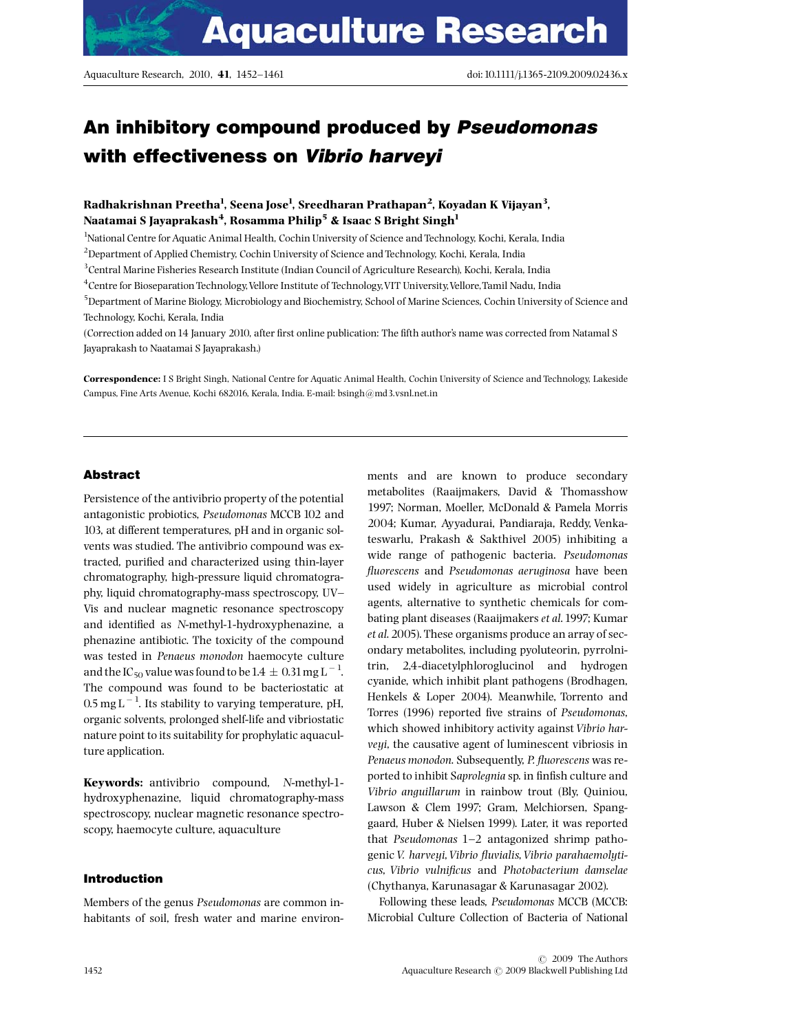# An inhibitory compound produced by Pseudomonas with effectiveness on Vibrio harveyi

# Radhakrishnan Preetha<sup>1</sup>, Seena Jose<sup>1</sup>, Sreedharan Prathapan<sup>2</sup>, Koyadan K Vijayan<sup>3</sup>, Naatamai S Jayaprakash $^4$ , Rosamma Philip $^5$  & Isaac S Bright Singh $^1$

<sup>1</sup>National Centre for Aquatic Animal Health, Cochin University of Science and Technology, Kochi, Kerala, India

 $^{2}$ Department of Applied Chemistry, Cochin University of Science and Technology, Kochi, Kerala, India

3 Central Marine Fisheries Research Institute (Indian Council of Agriculture Research), Kochi, Kerala, India

4 Centre for Bioseparation Technology,Vellore Institute of Technology,VIT University,Vellore,Tamil Nadu, India

5 Department of Marine Biology, Microbiology and Biochemistry, School of Marine Sciences, Cochin University of Science and Technology, Kochi, Kerala, India

(Correction added on 14 January 2010, after first online publication: The fifth author's name was corrected from Natamal S Jayaprakash to Naatamai S Jayaprakash.)

Correspondence: I S Bright Singh, National Centre for Aquatic Animal Health, Cochin University of Science and Technology, Lakeside Campus, Fine Arts Avenue, Kochi 682016, Kerala, India. E-mail: [bsingh@md3.vsnl.net.in](mailto:bsingh@md3.vsnl.net.in)

#### Abstract

Persistence of the antivibrio property of the potential antagonistic probiotics, Pseudomonas MCCB 102 and 103, at different temperatures, pH and in organic solvents was studied. The antivibrio compound was extracted, purified and characterized using thin-layer chromatography, high-pressure liquid chromatography, liquid chromatography-mass spectroscopy, UV^ Vis and nuclear magnetic resonance spectroscopy and identified as N-methyl-1-hydroxyphenazine, a phenazine antibiotic. The toxicity of the compound was tested in Penaeus monodon haemocyte culture and the IC  $_{50}$  value was found to be 1.4  $\pm\,$  0.31 mg L  $^{-1}$ . The compound was found to be bacteriostatic at  $0.5$  mg L<sup>-1</sup>. Its stability to varying temperature, pH, organic solvents, prolonged shelf-life and vibriostatic nature point to its suitability for prophylatic aquaculture application.

Keywords: antivibrio compound, N-methyl-1 hydroxyphenazine, liquid chromatography-mass spectroscopy, nuclear magnetic resonance spectroscopy, haemocyte culture, aquaculture

#### Introduction

Members of the genus Pseudomonas are common inhabitants of soil, fresh water and marine environments and are known to produce secondary metabolites (Raaijmakers, David & Thomasshow 1997; Norman, Moeller, McDonald & Pamela Morris 2004; Kumar, Ayyadurai, Pandiaraja, Reddy, Venkateswarlu, Prakash & Sakthivel 2005) inhibiting a wide range of pathogenic bacteria. Pseudomonas fluorescens and Pseudomonas aeruginosa have been used widely in agriculture as microbial control agents, alternative to synthetic chemicals for combating plant diseases (Raaijmakers et al.1997; Kumar et al. 2005). These organisms produce an array of secondary metabolites, including pyoluteorin, pyrrolnitrin, 2,4-diacetylphloroglucinol and hydrogen cyanide, which inhibit plant pathogens (Brodhagen, Henkels & Loper 2004). Meanwhile, Torrento and Torres (1996) reported five strains of Pseudomonas, which showed inhibitory activity against Vibrio harveyi, the causative agent of luminescent vibriosis in Penaeus monodon. Subsequently, P. fluorescens was reported to inhibit Saprolegnia sp. in finfish culture and Vibrio anguillarum in rainbow trout (Bly, Quiniou, Lawson & Clem 1997; Gram, Melchiorsen, Spanggaard, Huber & Nielsen 1999). Later, it was reported that Pseudomonas  $1-2$  antagonized shrimp pathogenic V. harveyi, Vibrio fluvialis, Vibrio parahaemolyticus, Vibrio vulnificus and Photobacterium damselae (Chythanya, Karunasagar & Karunasagar 2002).

Following these leads, Pseudomonas MCCB (MCCB: Microbial Culture Collection of Bacteria of National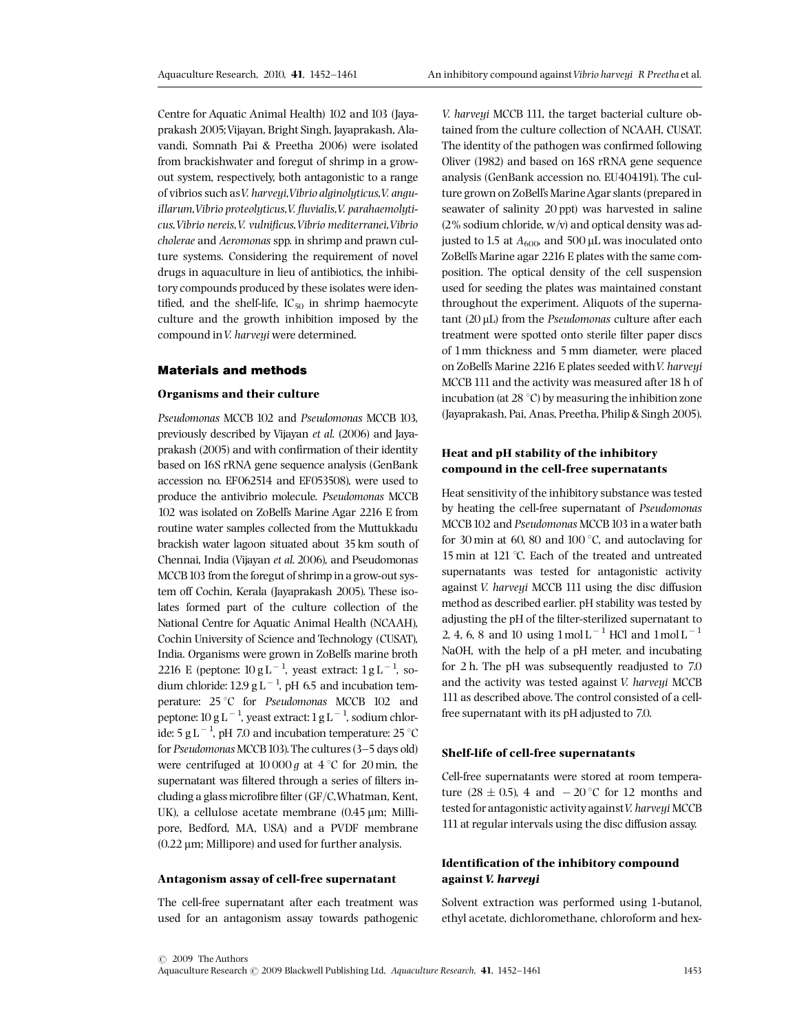Centre for Aquatic Animal Health) 102 and 103 (Jayaprakash 2005;Vijayan, Bright Singh, Jayaprakash, Alavandi, Somnath Pai & Preetha 2006) were isolated from brackishwater and foregut of shrimp in a growout system, respectively, both antagonistic to a range of vibrios such asV. harveyi,Vibrio alginolyticus,V. anguillarum, Vibrio proteolyticus, V. fluvialis, V. parahaemolyticus, Vibrio nereis, V. vulnificus, Vibrio mediterranei, Vibrio cholerae and Aeromonas spp. in shrimp and prawn culture systems. Considering the requirement of novel drugs in aquaculture in lieu of antibiotics, the inhibitory compounds produced by these isolates were identified, and the shelf-life,  $IC_{50}$  in shrimp haemocyte culture and the growth inhibition imposed by the compound inV. harveyi were determined.

#### Materials and methods

#### Organisms and their culture

Pseudomonas MCCB 102 and Pseudomonas MCCB 103, previously described by Vijayan et al. (2006) and Jayaprakash (2005) and with confirmation of their identity based on 16S rRNA gene sequence analysis (GenBank accession no. EF062514 and EF053508), were used to produce the antivibrio molecule. Pseudomonas MCCB 102 was isolated on ZoBell's Marine Agar 2216 E from routine water samples collected from the Muttukkadu brackish water lagoon situated about 35 km south of Chennai, India (Vijayan et al. 2006), and Pseudomonas MCCB 103 from the foregut of shrimp in a grow-out system off Cochin, Kerala (Jayaprakash 2005). These isolates formed part of the culture collection of the National Centre for Aquatic Animal Health (NCAAH), Cochin University of Science and Technology (CUSAT), India. Organisms were grown in ZoBell's marine broth 2216 E (peptone:  $10 g L^{-1}$ , yeast extract:  $1 g L^{-1}$ , sodium chloride:  $12.9 \text{ g L}^{-1}$ , pH 6.5 and incubation temperature: 25 °C for Pseudomonas MCCB 102 and peptone: 10 g L  $^{-1}$ , yeast extract: 1 g L  $^{-1}$ , sodium chloride: 5 g L  $^{-1}$ , pH 7.0 and incubation temperature: 25 °C for Pseudomonas MCCB 103). The cultures (3-5 days old) were centrifuged at  $10000 g$  at  $4 °C$  for 20 min, the supernatant was filtered through a series of filters including a glass microfibre filter ( $GF/C$ , Whatman, Kent, UK), a cellulose acetate membrane  $(0.45 \,\mu m;$  Millipore, Bedford, MA, USA) and a PVDF membrane  $(0.22 \mu m;$  Millipore) and used for further analysis.

#### Antagonism assay of cell-free supernatant

The cell-free supernatant after each treatment was used for an antagonism assay towards pathogenic

V. harveyi MCCB 111, the target bacterial culture obtained from the culture collection of NCAAH, CUSAT. The identity of the pathogen was confirmed following Oliver (1982) and based on 16S rRNA gene sequence analysis (GenBank accession no. EU404191). The culture grown on ZoBell's Marine Agar slants (prepared in seawater of salinity 20 ppt) was harvested in saline  $(2\% \text{ sodium chloride}, \text{w/v})$  and optical density was adjusted to 1.5 at  $A_{600}$ , and 500 µL was inoculated onto ZoBell's Marine agar 2216 E plates with the same composition. The optical density of the cell suspension used for seeding the plates was maintained constant throughout the experiment. Aliquots of the superna $t$ ant (20  $\mu$ L) from the Pseudomonas culture after each treatment were spotted onto sterile filter paper discs of 1mm thickness and 5 mm diameter, were placed on ZoBell's Marine 2216 E plates seeded withV. harveyi MCCB 111 and the activity was measured after 18 h of incubation (at  $28 \degree C$ ) by measuring the inhibition zone (Jayaprakash, Pai, Anas, Preetha, Philip & Singh 2005).

## Heat and pH stability of the inhibitory compound in the cell-free supernatants

Heat sensitivity of the inhibitory substance was tested by heating the cell-free supernatant of Pseudomonas MCCB<sub>102</sub> and Pseudomonas MCCB<sub>103</sub> in a water bath for 30 min at 60, 80 and 100 $^{\circ}$ C, and autoclaving for 15 min at 121 °C. Each of the treated and untreated supernatants was tested for antagonistic activity against V. harveyi MCCB 111 using the disc diffusion method as described earlier. pH stability was tested by adjusting the pH of the filter-sterilized supernatant to 2, 4, 6, 8 and 10 using  $1 \text{ mol L}^{-1}$  HCl and  $1 \text{ mol L}^{-1}$ NaOH, with the help of a pH meter, and incubating for 2 h. The pH was subsequently readjusted to 7.0 and the activity was tested against V. harveyi MCCB 111 as described above. The control consisted of a cellfree supernatant with its pH adjusted to 7.0.

#### Shelf-life of cell-free supernatants

Cell-free supernatants were stored at room temperature (28  $\pm$  0.5), 4 and  $-$  20 °C for 12 months and tested for antagonistic activity against V. harveyi MCCB 111 at regular intervals using the disc diffusion assay.

# Identification of the inhibitory compound against V. harveyi

Solvent extraction was performed using 1-butanol, ethyl acetate, dichloromethane, chloroform and hex-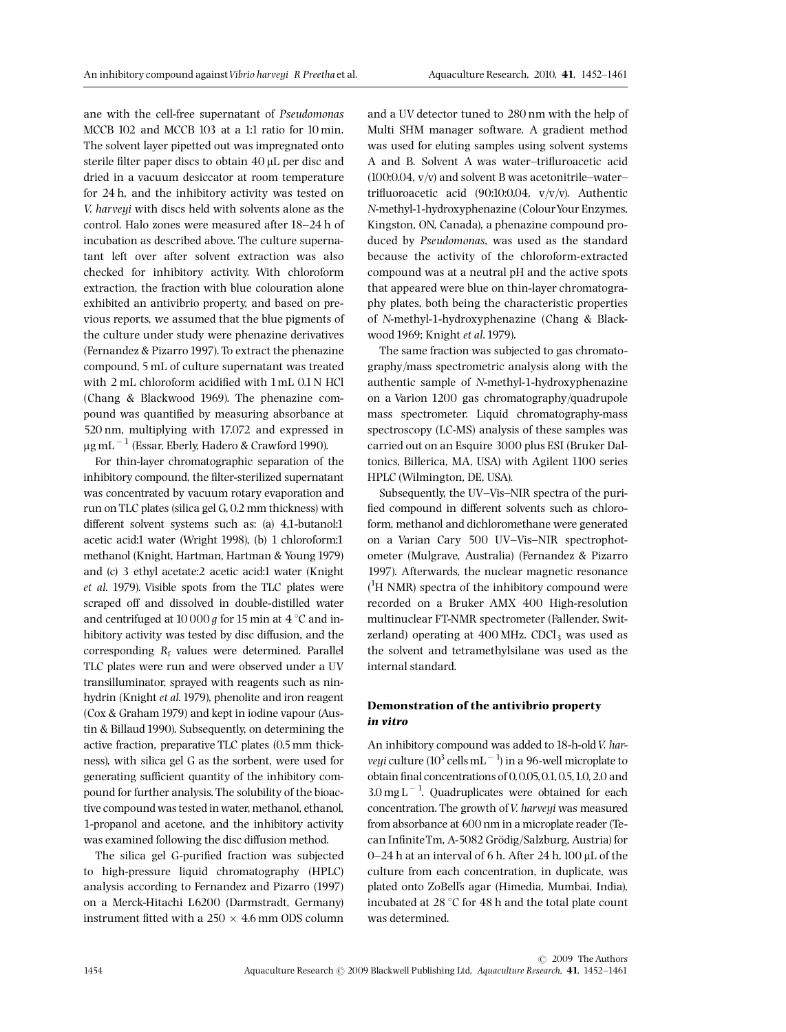ane with the cell-free supernatant of Pseudomonas MCCB 102 and MCCB 103 at a 1:1 ratio for 10 min. The solvent layer pipetted out was impregnated onto sterile filter paper discs to obtain 40 µL per disc and dried in a vacuum desiccator at room temperature for 24 h, and the inhibitory activity was tested on V. harveui with discs held with solvents alone as the control. Halo zones were measured after 18-24 h of incubation as described above. The culture supernatant left over after solvent extraction was also checked for inhibitory activity. With chloroform extraction, the fraction with blue colouration alone exhibited an antivibrio property, and based on previous reports, we assumed that the blue pigments of the culture under study were phenazine derivatives (Fernandez & Pizarro 1997). To extract the phenazine compound, 5 mL of culture supernatant was treated with 2 mL chloroform acidified with 1 mL 0.1 N HCl (Chang & Blackwood 1969). The phenazine compound was quantified by measuring absorbance at 520 nm, multiplying with 17.072 and expressed in  $\mu$ g mL<sup> $-1$ </sup> (Essar, Eberly, Hadero & Crawford 1990).

For thin-layer chromatographic separation of the inhibitory compound, the filter-sterilized supernatant was concentrated by vacuum rotary evaporation and run on TLC plates (silica gel G, 0.2 mm thickness) with different solvent systems such as: (a) 4,1-butanol:1 acetic acid:1 water (Wright 1998), (b) 1 chloroform:1 methanol (Knight, Hartman, Hartman & Young 1979) and (c) 3 ethyl acetate:2 acetic acid:1 water (Knight et al. 1979). Visible spots from the TLC plates were scraped off and dissolved in double-distilled water and centrifuged at 10 000  $q$  for 15 min at 4  $\degree$ C and inhibitory activity was tested by disc diffusion, and the corresponding  $R_f$  values were determined. Parallel TLC plates were run and were observed under a UV transilluminator, sprayed with reagents such as ninhydrin (Knight et al.1979), phenolite and iron reagent (Cox & Graham 1979) and kept in iodine vapour (Austin & Billaud 1990). Subsequently, on determining the active fraction, preparative TLC plates (0.5 mm thickness), with silica gel G as the sorbent, were used for generating sufficient quantity of the inhibitory compound for further analysis. The solubility of the bioactive compound was tested in water, methanol, ethanol, 1-propanol and acetone, and the inhibitory activity was examined following the disc diffusion method.

The silica gel G-purified fraction was subjected to high-pressure liquid chromatography (HPLC) analysis according to Fernandez and Pizarro (1997) on a Merck-Hitachi L6200 (Darmstradt, Germany) instrument fitted with a  $250 \times 4.6$  mm ODS column and a UV detector tuned to 280 nm with the help of Multi SHM manager software. A gradient method was used for eluting samples using solvent systems A and B. Solvent A was water-trifluroacetic acid (100:0.04,  $v/v$ ) and solvent B was acetonitrile-watertrifluoroacetic acid  $(90:10:0.04, v/v/v)$ . Authentic N-methyl-1-hydroxyphenazine (ColourYour Enzymes, Kingston, ON, Canada), a phenazine compound produced by Pseudomonas, was used as the standard because the activity of the chloroform-extracted compound was at a neutral pH and the active spots that appeared were blue on thin-layer chromatography plates, both being the characteristic properties of N-methyl-1-hydroxyphenazine (Chang & Blackwood 1969; Knight et al.1979).

The same fraction was subjected to gas chromatography/mass spectrometric analysis along with the authentic sample of N-methyl-1-hydroxyphenazine on a Varion 1200 gas chromatography/quadrupole mass spectrometer. Liquid chromatography-mass spectroscopy (LC-MS) analysis of these samples was carried out on an Esquire 3000 plus ESI (Bruker Daltonics, Billerica, MA, USA) with Agilent 1100 series HPLC (Wilmington, DE, USA).

Subsequently, the UV-Vis-NIR spectra of the purified compound in different solvents such as chloroform, methanol and dichloromethane were generated on a Varian Cary 500 UV-Vis-NIR spectrophotometer (Mulgrave, Australia) (Fernandez & Pizarro 1997). Afterwards, the nuclear magnetic resonance ( 1 H NMR) spectra of the inhibitory compound were recorded on a Bruker AMX 400 High-resolution multinuclear FT-NMR spectrometer (Fallender, Switzerland) operating at  $400$  MHz. CDCl<sub>3</sub> was used as the solvent and tetramethylsilane was used as the internal standard.

# Demonstration of the antivibrio property in vitro

An inhibitory compound was added to 18-h-old V. har*veyi* culture (10<sup>3</sup> cells mL<sup> $-1$ </sup>) in a 96-well microplate to obtain ¢nal concentrations of 0,0.05,0.1,0.5,1.0,2.0 and  $3.0 \text{ mg L}^{-1}$ . Quadruplicates were obtained for each concentration. The growth of V. harveyi was measured from absorbance at 600 nm in a microplate reader (Tecan InfiniteTm, A-5082 Grödig/Salzburg, Austria) for 0–24 h at an interval of 6 h. After 24 h,  $100 \mu$ L of the culture from each concentration, in duplicate, was plated onto ZoBell's agar (Himedia, Mumbai, India), incubated at 28  $\degree$ C for 48 h and the total plate count was determined.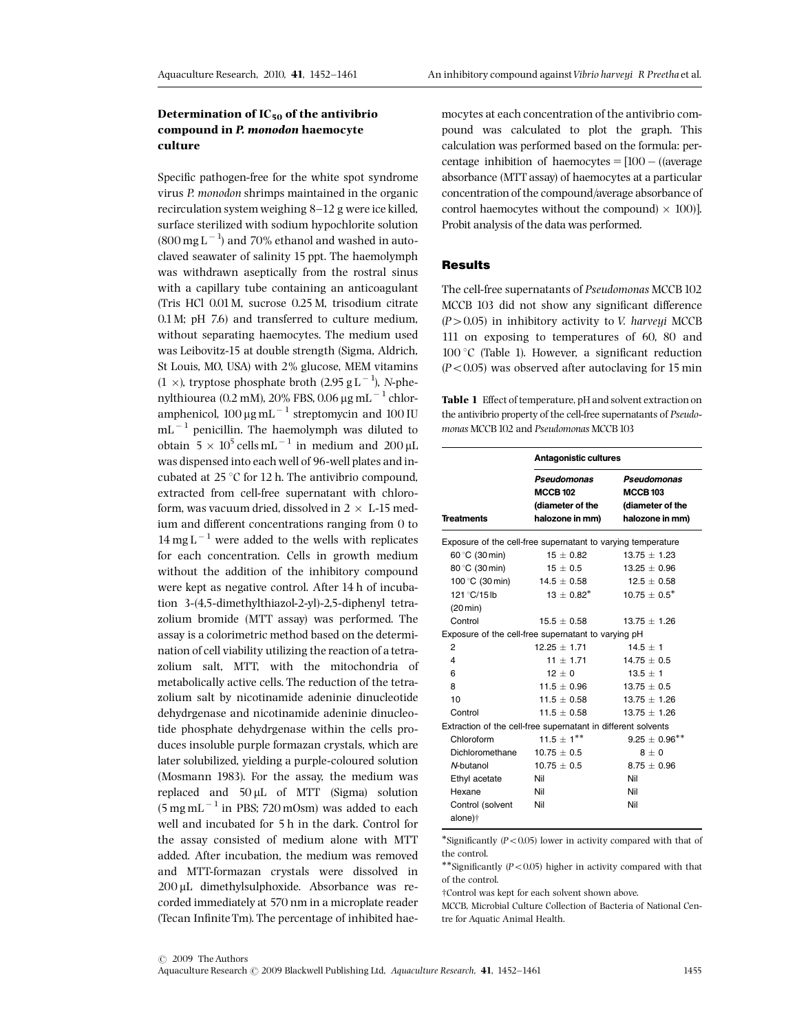# Determination of  $IC_{50}$  of the antivibrio compound in P. monodon haemocyte culture

Specific pathogen-free for the white spot syndrome virus P. monodon shrimps maintained in the organic recirculation system weighing  $8-12$  g were ice killed. surface sterilized with sodium hypochlorite solution  $(800 \,\mathrm{mg}\,\mathrm{L}^{-1})$  and 70% ethanol and washed in autoclaved seawater of salinity 15 ppt. The haemolymph was withdrawn aseptically from the rostral sinus with a capillary tube containing an anticoagulant (Tris HCl 0.01M, sucrose 0.25 M, trisodium citrate 0.1M; pH 7.6) and transferred to culture medium, without separating haemocytes. The medium used was Leibovitz-15 at double strength (Sigma, Aldrich, St Louis, MO, USA) with 2% glucose, MEM vitamins  $(1 \times)$ , tryptose phosphate broth  $(2.95 \text{ g L}^{-1})$ , N-phenylthiourea (0.2 mM), 20% FBS, 0.06  $\mu$ g mL<sup>-1</sup> chloramphenicol,  $100 \mu g \text{ mL}^{-1}$  streptomycin and  $100 \text{ IU}$  $mL^{-1}$  penicillin. The haemolymph was diluted to obtain  $5 \times 10^5$  cells mL<sup>-1</sup> in medium and 200 µL was dispensed into each well of 96-well plates and incubated at  $25^{\circ}$ C for 12 h. The antivibrio compound, extracted from cell-free supernatant with chloroform, was vacuum dried, dissolved in  $2 \times L$ -15 medium and different concentrations ranging from 0 to  $14 \text{ mg L}^{-1}$  were added to the wells with replicates for each concentration. Cells in growth medium without the addition of the inhibitory compound were kept as negative control. After 14 h of incubation 3-(4,5-dimethylthiazol-2-yl)-2,5-diphenyl tetrazolium bromide (MTT assay) was performed. The assay is a colorimetric method based on the determination of cell viability utilizing the reaction of a tetrazolium salt, MTT, with the mitochondria of metabolically active cells. The reduction of the tetrazolium salt by nicotinamide adeninie dinucleotide dehydrgenase and nicotinamide adeninie dinucleotide phosphate dehydrgenase within the cells produces insoluble purple formazan crystals, which are later solubilized, yielding a purple-coloured solution (Mosmann 1983). For the assay, the medium was replaced and  $50 \mu L$  of MTT (Sigma) solution  $(5 \text{ mg} \text{ mL}^{-1} \text{ in PBS}; 720 \text{ mOsm})$  was added to each well and incubated for 5 h in the dark. Control for the assay consisted of medium alone with MTT added. After incubation, the medium was removed and MTT-formazan crystals were dissolved in 200 µL dimethylsulphoxide. Absorbance was recorded immediately at 570 nm in a microplate reader (Tecan Infinite Tm). The percentage of inhibited haemocytes at each concentration of the antivibrio compound was calculated to plot the graph. This calculation was performed based on the formula: percentage inhibition of haemocytes  $= [100 - (a<sub>ver</sub>ae<sub>1</sub>)]$ absorbance (MTT assay) of haemocytes at a particular concentration of the compound/average absorbance of control haemocytes without the compound)  $\times$  100)]. Probit analysis of the data was performed.

## **Results**

The cell-free supernatants of Pseudomonas MCCB 102 MCCB 103 did not show any significant difference  $(P > 0.05)$  in inhibitory activity to *V. harveyi* MCCB 111 on exposing to temperatures of 60, 80 and  $100\degree C$  (Table 1). However, a significant reduction  $(P<0.05)$  was observed after autoclaving for 15 min

Table 1 Effect of temperature, pH and solvent extraction on the antivibrio property of the cell-free supernatants of Pseudomonas MCCB 102 and Pseudomonas MCCB 103

|                                                               | <b>Antagonistic cultures</b>                                          |                                                                      |  |  |  |
|---------------------------------------------------------------|-----------------------------------------------------------------------|----------------------------------------------------------------------|--|--|--|
| <b>Treatments</b>                                             | Pseudomonas<br><b>MCCB 102</b><br>(diameter of the<br>halozone in mm) | Pseudomonas<br><b>MCCB103</b><br>(diameter of the<br>halozone in mm) |  |  |  |
| Exposure of the cell-free supernatant to varying temperature  |                                                                       |                                                                      |  |  |  |
| 60 °C (30 min)                                                | $15 \pm 0.82$                                                         | $13.75 + 1.23$                                                       |  |  |  |
| 80 °C (30 min)                                                | $15 \pm 0.5$                                                          | $13.25 \pm 0.96$                                                     |  |  |  |
| 100 °C (30 min)                                               | 14.5 $\pm$ 0.58                                                       | $12.5 + 0.58$                                                        |  |  |  |
| 121 °C/15lb                                                   | $13 + 0.82^*$                                                         | $10.75 + 0.5^*$                                                      |  |  |  |
| (20 min)                                                      |                                                                       |                                                                      |  |  |  |
| Control                                                       | $15.5 + 0.58$                                                         | $13.75 + 1.26$                                                       |  |  |  |
|                                                               | Exposure of the cell-free supernatant to varying pH                   |                                                                      |  |  |  |
| $\overline{2}$                                                | $12.25 + 1.71$                                                        | $14.5 + 1$                                                           |  |  |  |
| 4                                                             | $11 + 1.71$                                                           | $14.75 + 0.5$                                                        |  |  |  |
| 6                                                             | $12 + 0$                                                              | $13.5 + 1$                                                           |  |  |  |
| 8                                                             | $11.5 \pm 0.96$                                                       | $13.75 \pm 0.5$                                                      |  |  |  |
| 10                                                            | $11.5 \pm 0.58$                                                       | $13.75 \pm 1.26$                                                     |  |  |  |
| Control                                                       | $11.5 + 0.58$                                                         | $13.75 + 1.26$                                                       |  |  |  |
| Extraction of the cell-free supernatant in different solvents |                                                                       |                                                                      |  |  |  |
| Chloroform                                                    | $11.5 \pm 1***$                                                       | $9.25 \pm 0.96***$                                                   |  |  |  |
| Dichloromethane                                               | $10.75 \pm 0.5$                                                       | $8 + 0$                                                              |  |  |  |
| N-butanol                                                     | $10.75 \pm 0.5$                                                       | $8.75 + 0.96$                                                        |  |  |  |
| Ethyl acetate                                                 | Nil                                                                   | Nil                                                                  |  |  |  |
| Hexane                                                        | Nil                                                                   | Nil                                                                  |  |  |  |
| Control (solvent<br>alone) <sup>+</sup>                       | Nil                                                                   | Nil                                                                  |  |  |  |

\*Significantly  $(P<0.05)$  lower in activity compared with that of the control.

\*\*Significantly  $(P<0.05)$  higher in activity compared with that of the control.

†Control was kept for each solvent shown above.

MCCB, Microbial Culture Collection of Bacteria of National Centre for Aquatic Animal Health.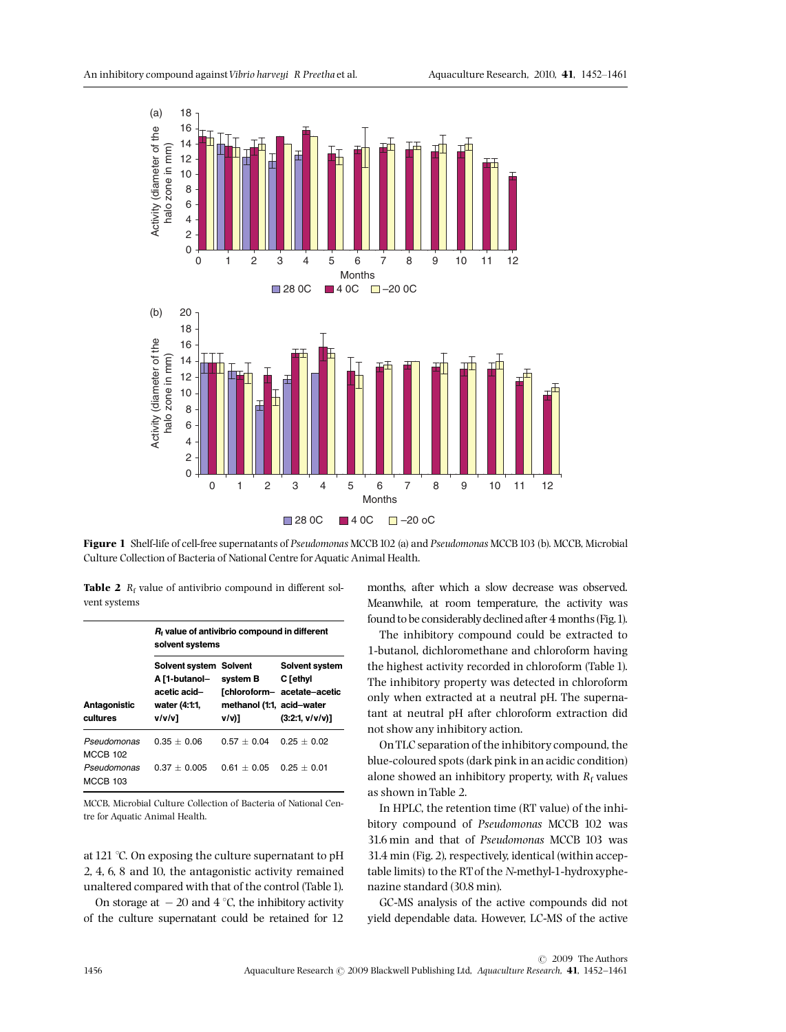

Figure 1 Shelf-life of cell-free supernatants of Pseudomonas MCCB 102 (a) and Pseudomonas MCCB 103 (b). MCCB, Microbial Culture Collection of Bacteria of National Centre for Aquatic Animal Health.

**Table 2**  $R_f$  value of antivibrio compound in different solvent systems

|                                | $R_t$ value of antivibrio compound in different<br>solvent systems                 |                                                |                                                                                           |  |
|--------------------------------|------------------------------------------------------------------------------------|------------------------------------------------|-------------------------------------------------------------------------------------------|--|
| Antagonistic<br>cultures       | Solvent system Solvent<br>A [1-butanol-<br>acetic acid-<br>water (4:1:1,<br>v/v/v] | system B<br>methanol (1:1, acid-water<br>v/v)1 | <b>Solvent system</b><br>C [ethyl<br><b>Tchloroform-</b> acetate-acetic<br>(3:2:1, v/v/v) |  |
| Pseudomonas<br><b>MCCB 102</b> | $0.35 + 0.06$                                                                      | $0.57 + 0.04$                                  | $0.25 + 0.02$                                                                             |  |
| Pseudomonas<br><b>MCCB 103</b> | $0.37 + 0.005$                                                                     | $0.61 + 0.05$                                  | $0.25 + 0.01$                                                                             |  |

MCCB, Microbial Culture Collection of Bacteria of National Centre for Aquatic Animal Health.

at 121  $\degree$ C. On exposing the culture supernatant to pH 2, 4, 6, 8 and 10, the antagonistic activity remained unaltered compared with that of the control (Table1).

On storage at  $-20$  and  $4^{\circ}$ C, the inhibitory activity of the culture supernatant could be retained for 12 months, after which a slow decrease was observed. Meanwhile, at room temperature, the activity was found to be considerably declined after 4 months (Fig.1).

The inhibitory compound could be extracted to 1-butanol, dichloromethane and chloroform having the highest activity recorded in chloroform (Table 1). The inhibitory property was detected in chloroform only when extracted at a neutral pH. The supernatant at neutral pH after chloroform extraction did not show any inhibitory action.

OnTLC separation of the inhibitory compound, the blue-coloured spots (dark pink in an acidic condition) alone showed an inhibitory property, with  $R_f$  values as shown in Table 2.

In HPLC, the retention time (RT value) of the inhibitory compound of Pseudomonas MCCB 102 was 31.6 min and that of Pseudomonas MCCB 103 was 31.4 min (Fig. 2), respectively, identical (within acceptable limits) to the RT of the N-methyl-1-hydroxyphenazine standard (30.8 min).

GC-MS analysis of the active compounds did not yield dependable data. However, LC-MS of the active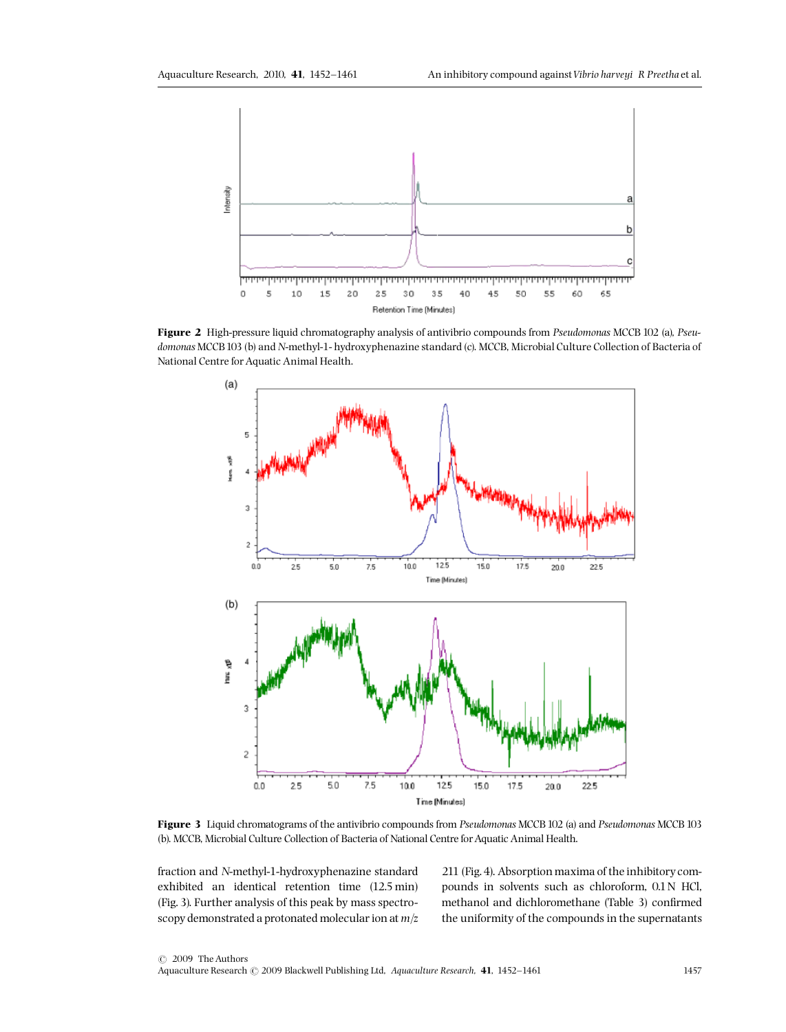

Figure 2 High-pressure liquid chromatography analysis of antivibrio compounds from Pseudomonas MCCB 102 (a), Pseudomonas MCCB103 (b) and N-methyl-1- hydroxyphenazine standard (c). MCCB, Microbial Culture Collection of Bacteria of National Centre for Aquatic Animal Health.



Figure 3 Liquid chromatograms of the antivibrio compounds from Pseudomonas MCCB 102 (a) and Pseudomonas MCCB 103 (b). MCCB, Microbial Culture Collection of Bacteria of National Centre for Aquatic Animal Health.

fraction and N-methyl-1-hydroxyphenazine standard exhibited an identical retention time (12.5 min) (Fig. 3). Further analysis of this peak by mass spectroscopy demonstrated a protonated molecular ion at  $m/z$ 

211 (Fig.4). Absorption maxima of the inhibitory compounds in solvents such as chloroform, 0.1N HCl, methanol and dichloromethane (Table 3) confirmed the uniformity of the compounds in the supernatants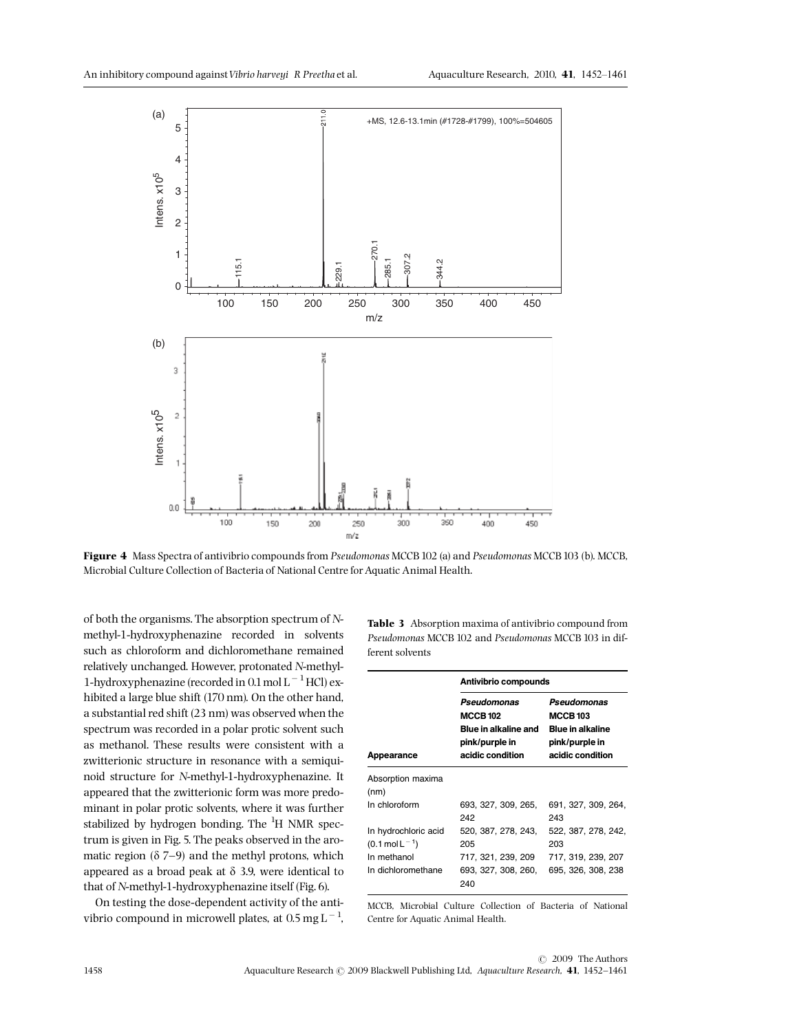

Figure 4 Mass Spectra of antivibrio compounds from Pseudomonas MCCB 102 (a) and Pseudomonas MCCB 103 (b). MCCB, Microbial Culture Collection of Bacteria of National Centre for Aquatic Animal Health.

of both the organisms. The absorption spectrum of Nmethyl-1-hydroxyphenazine recorded in solvents such as chloroform and dichloromethane remained relatively unchanged. However, protonated N-methyl-1-hydroxyphenazine (recorded in  $0.1$  mol L<sup>-1</sup>HCl) exhibited a large blue shift (170 nm). On the other hand, a substantial red shift (23 nm) was observed when the spectrum was recorded in a polar protic solvent such as methanol. These results were consistent with a zwitterionic structure in resonance with a semiquinoid structure for N-methyl-1-hydroxyphenazine. It appeared that the zwitterionic form was more predominant in polar protic solvents, where it was further stabilized by hydrogen bonding. The <sup>1</sup>H NMR spectrum is given in Fig. 5. The peaks observed in the aromatic region  $(\delta 7-9)$  and the methyl protons, which appeared as a broad peak at  $\delta$  3.9, were identical to that of N-methyl-1-hydroxyphenazine itself (Fig.6).

On testing the dose-dependent activity of the antivibrio compound in microwell plates, at 0.5  $\text{mg}\,\text{L}^{-1}$ ,

Table 3 Absorption maxima of antivibrio compound from Pseudomonas MCCB 102 and Pseudomonas MCCB 103 in different solvents

|                                                                                         | Antivibrio compounds                                                                         |                                                                                                 |  |
|-----------------------------------------------------------------------------------------|----------------------------------------------------------------------------------------------|-------------------------------------------------------------------------------------------------|--|
| Appearance                                                                              | Pseudomonas<br><b>MCCB 102</b><br>Blue in alkaline and<br>pink/purple in<br>acidic condition | Pseudomonas<br><b>MCCB 103</b><br><b>Blue in alkaline</b><br>pink/purple in<br>acidic condition |  |
| Absorption maxima<br>(nm)                                                               |                                                                                              |                                                                                                 |  |
| In chloroform                                                                           | 693, 327, 309, 265,<br>242                                                                   | 691, 327, 309, 264,<br>243                                                                      |  |
| In hydrochloric acid<br>$(0.1 \text{ mol L}^{-1})$<br>In methanol<br>In dichloromethane | 520, 387, 278, 243,<br>205<br>717, 321, 239, 209<br>693, 327, 308, 260,                      | 522, 387, 278, 242,<br>203<br>717, 319, 239, 207<br>695, 326, 308, 238                          |  |
|                                                                                         | 240                                                                                          |                                                                                                 |  |

MCCB, Microbial Culture Collection of Bacteria of National Centre for Aquatic Animal Health.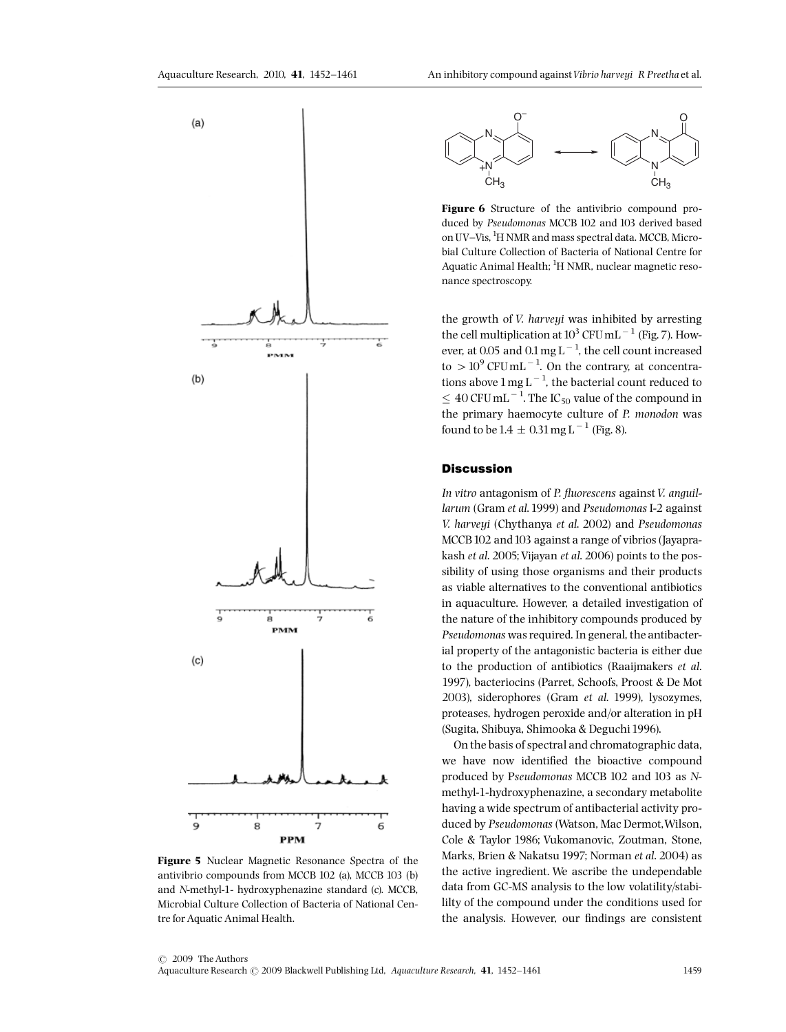

Figure 5 Nuclear Magnetic Resonance Spectra of the antivibrio compounds from MCCB 102 (a), MCCB 103 (b) and N-methyl-1- hydroxyphenazine standard (c). MCCB, Microbial Culture Collection of Bacteria of National Centre for Aquatic Animal Health.



Figure 6 Structure of the antivibrio compound produced by Pseudomonas MCCB 102 and 103 derived based on UV-Vis, <sup>1</sup>H NMR and mass spectral data. MCCB, Microbial Culture Collection of Bacteria of National Centre for Aquatic Animal Health; <sup>1</sup>H NMR, nuclear magnetic resonance spectroscopy.

the growth of V. harveyi was inhibited by arresting the cell multiplication at  $10^3$  CFU mL<sup>-1</sup> (Fig. 7). However, at 0.05 and  $0.1 \text{ mg L}^{-1}$ , the cell count increased to  $> 10^9$  CFU mL<sup>-1</sup>. On the contrary, at concentrations above  $1 \text{ mg L}^{-1}$ , the bacterial count reduced to  $\leq 40$  CFU mL  $^{-1}$  . The IC  $_{50}$  value of the compound in the primary haemocyte culture of P. monodon was found to be  $1.4 \pm 0.31$  mg L<sup>-1</sup> (Fig. 8).

# **Discussion**

In vitro antagonism of P. fluorescens against V. anguillarum (Gram et al.1999) and Pseudomonas I-2 against V. harveyi (Chythanya et al. 2002) and Pseudomonas MCCB<sub>102</sub> and 103 against a range of vibrios (Jayaprakash et al. 2005; Vijayan et al. 2006) points to the possibility of using those organisms and their products as viable alternatives to the conventional antibiotics in aquaculture. However, a detailed investigation of the nature of the inhibitory compounds produced by Pseudomonas was required. In general, the antibacterial property of the antagonistic bacteria is either due to the production of antibiotics (Raaijmakers et al. 1997), bacteriocins (Parret, Schoofs, Proost & De Mot 2003), siderophores (Gram et al. 1999), lysozymes, proteases, hydrogen peroxide and/or alteration in pH (Sugita, Shibuya, Shimooka & Deguchi1996).

On the basis of spectral and chromatographic data, we have now identified the bioactive compound produced by Pseudomonas MCCB 102 and 103 as Nmethyl-1-hydroxyphenazine, a secondary metabolite having a wide spectrum of antibacterial activity produced by Pseudomonas (Watson, Mac Dermot,Wilson, Cole & Taylor 1986; Vukomanovic, Zoutman, Stone, Marks, Brien & Nakatsu 1997; Norman et al. 2004) as the active ingredient. We ascribe the undependable data from GC-MS analysis to the low volatility/stabililty of the compound under the conditions used for the analysis. However, our findings are consistent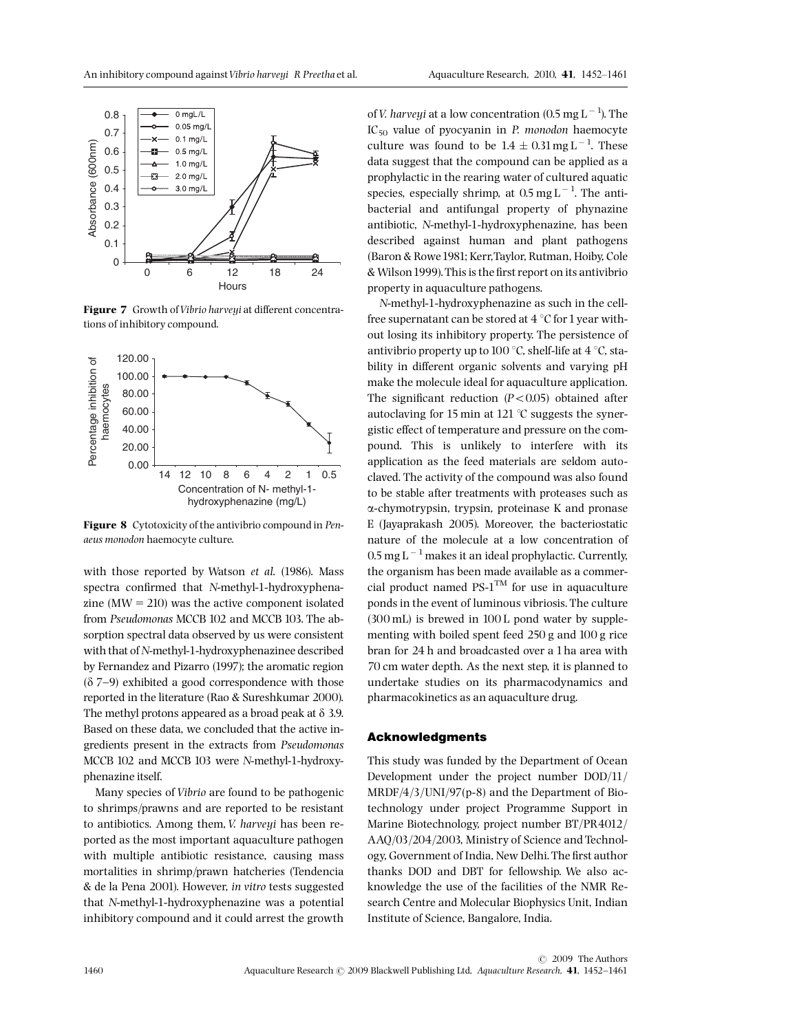

Figure 7 Growth of Vibrio harveyi at different concentrations of inhibitory compound.



Figure 8 Cytotoxicity of the antivibrio compound in Penaeus monodon haemocyte culture.

with those reported by Watson et al. (1986). Mass spectra confirmed that N-methyl-1-hydroxyphenazine  $(MW = 210)$  was the active component isolated from Pseudomonas MCCB 102 and MCCB 103. The absorption spectral data observed by us were consistent with that of N-methyl-1-hydroxyphenazinee described by Fernandez and Pizarro (1997); the aromatic region  $(\delta$  7-9) exhibited a good correspondence with those reported in the literature (Rao & Sureshkumar 2000). The methyl protons appeared as a broad peak at  $\delta$  3.9. Based on these data, we concluded that the active ingredients present in the extracts from Pseudomonas MCCB 102 and MCCB 103 were N-methyl-1-hydroxyphenazine itself.

Many species of Vibrio are found to be pathogenic to shrimps/prawns and are reported to be resistant to antibiotics. Among them, *V. harveyi* has been reported as the most important aquaculture pathogen with multiple antibiotic resistance, causing mass mortalities in shrimp/prawn hatcheries (Tendencia & de la Pena 2001). However, in vitro tests suggested that N-methyl-1-hydroxyphenazine was a potential inhibitory compound and it could arrest the growth

of *V. harveyi* at a low concentration (0.5 mg  $L^{-1}$ ). The  $IC_{50}$  value of pyocyanin in P. monodon haemocyte culture was found to be  $1.4 \pm 0.31$  mg L<sup>-1</sup>. These data suggest that the compound can be applied as a prophylactic in the rearing water of cultured aquatic species, especially shrimp, at  $0.5 \text{ mg L}^{-1}$ . The antibacterial and antifungal property of phynazine antibiotic, N-methyl-1-hydroxyphenazine, has been described against human and plant pathogens (Baron & Rowe1981; Kerr,Taylor, Rutman, Hoiby, Cole & Wilson1999).This is the ¢rst report on its antivibrio property in aquaculture pathogens.

N-methyl-1-hydroxyphenazine as such in the cellfree supernatant can be stored at  $4^{\circ}$ C for 1 year without losing its inhibitory property. The persistence of antivibrio property up to 100  $\degree$ C, shelf-life at 4  $\degree$ C, stability in different organic solvents and varying pH make the molecule ideal for aquaculture application. The significant reduction  $(P<0.05)$  obtained after autoclaving for 15 min at 121  $^{\circ}$ C suggests the synergistic effect of temperature and pressure on the compound. This is unlikely to interfere with its application as the feed materials are seldom autoclaved. The activity of the compound was also found to be stable after treatments with proteases such as a-chymotrypsin, trypsin, proteinase K and pronase E (Jayaprakash 2005). Moreover, the bacteriostatic nature of the molecule at a low concentration of  $0.5$  mg L<sup>-1</sup> makes it an ideal prophylactic. Currently, the organism has been made available as a commercial product named  $PS-1<sup>TM</sup>$  for use in aquaculture ponds in the event of luminous vibriosis. The culture (300 mL) is brewed in 100 L pond water by supplementing with boiled spent feed 250 g and 100 g rice bran for 24 h and broadcasted over a 1ha area with 70 cm water depth. As the next step, it is planned to undertake studies on its pharmacodynamics and pharmacokinetics as an aquaculture drug.

## Acknowledgments

This study was funded by the Department of Ocean Development under the project number DOD/11/ MRDF/4/3/UNI/97(p-8) and the Department of Biotechnology under project Programme Support in Marine Biotechnology, project number BT/PR4012/ AAQ/03/204/2003, Ministry of Science and Technology, Government of India, New Delhi. The first author thanks DOD and DBT for fellowship. We also acknowledge the use of the facilities of the NMR Research Centre and Molecular Biophysics Unit, Indian Institute of Science, Bangalore, India.